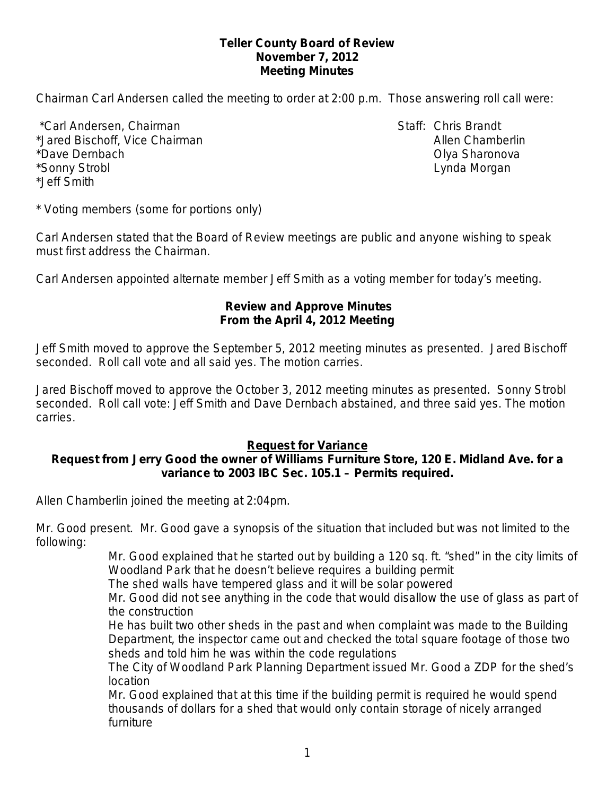#### **Teller County Board of Review November 7, 2012 Meeting Minutes**

Chairman Carl Andersen called the meeting to order at 2:00 p.m. Those answering roll call were:

\*Carl Andersen, Chairman Staff: Chris Brandt \*Jared Bischoff, Vice Chairman Allen Chamberlin Allen Chamberlin \*Dave Dernbach Olya Sharonova \*Sonny Strobl Lynda Morgan \*Jeff Smith

\* Voting members (some for portions only)

Carl Andersen stated that the Board of Review meetings are public and anyone wishing to speak must first address the Chairman.

Carl Andersen appointed alternate member Jeff Smith as a voting member for today's meeting.

#### **Review and Approve Minutes From the April 4, 2012 Meeting**

Jeff Smith moved to approve the September 5, 2012 meeting minutes as presented. Jared Bischoff seconded.Roll call vote and all said yes. The motion carries.

Jared Bischoff moved to approve the October 3, 2012 meeting minutes as presented. Sonny Strobl seconded.Roll call vote: Jeff Smith and Dave Dernbach abstained, and three said yes. The motion carries.

#### **Request for Variance**

#### **Request from Jerry Good the owner of Williams Furniture Store, 120 E. Midland Ave. for a variance to 2003 IBC Sec. 105.1 – Permits required.**

Allen Chamberlin joined the meeting at 2:04pm.

Mr. Good present. Mr. Good gave a synopsis of the situation that included but was not limited to the following:

> Mr. Good explained that he started out by building a 120 sq. ft. "shed" in the city limits of Woodland Park that he doesn't believe requires a building permit

The shed walls have tempered glass and it will be solar powered

Mr. Good did not see anything in the code that would disallow the use of glass as part of the construction

He has built two other sheds in the past and when complaint was made to the Building Department, the inspector came out and checked the total square footage of those two sheds and told him he was within the code regulations

The City of Woodland Park Planning Department issued Mr. Good a ZDP for the shed's location

Mr. Good explained that at this time if the building permit is required he would spend thousands of dollars for a shed that would only contain storage of nicely arranged furniture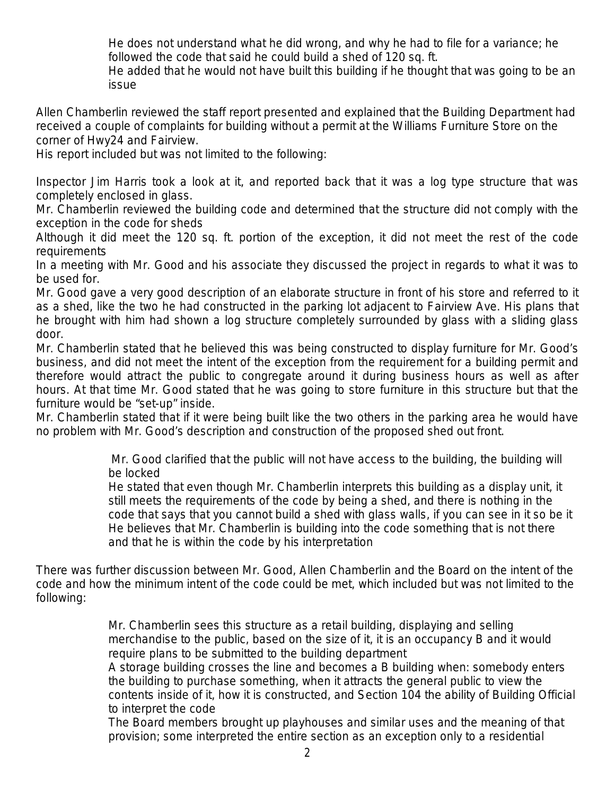He does not understand what he did wrong, and why he had to file for a variance; he followed the code that said he could build a shed of 120 sq. ft.

He added that he would not have built this building if he thought that was going to be an issue

Allen Chamberlin reviewed the staff report presented and explained that the Building Department had received a couple of complaints for building without a permit at the Williams Furniture Store on the corner of Hwy24 and Fairview.

His report included but was not limited to the following:

Inspector Jim Harris took a look at it, and reported back that it was a log type structure that was completely enclosed in glass.

Mr. Chamberlin reviewed the building code and determined that the structure did not comply with the exception in the code for sheds

Although it did meet the 120 sq. ft. portion of the exception, it did not meet the rest of the code requirements

In a meeting with Mr. Good and his associate they discussed the project in regards to what it was to be used for.

Mr. Good gave a very good description of an elaborate structure in front of his store and referred to it as a shed, like the two he had constructed in the parking lot adjacent to Fairview Ave. His plans that he brought with him had shown a log structure completely surrounded by glass with a sliding glass door.

Mr. Chamberlin stated that he believed this was being constructed to display furniture for Mr. Good's business, and did not meet the intent of the exception from the requirement for a building permit and therefore would attract the public to congregate around it during business hours as well as after hours. At that time Mr. Good stated that he was going to store furniture in this structure but that the furniture would be "set-up" inside.

Mr. Chamberlin stated that if it were being built like the two others in the parking area he would have no problem with Mr. Good's description and construction of the proposed shed out front.

> Mr. Good clarified that the public will not have access to the building, the building will be locked

He stated that even though Mr. Chamberlin interprets this building as a display unit, it still meets the requirements of the code by being a shed, and there is nothing in the code that says that you cannot build a shed with glass walls, if you can see in it so be it He believes that Mr. Chamberlin is building into the code something that is not there and that he is within the code by his interpretation

There was further discussion between Mr. Good, Allen Chamberlin and the Board on the intent of the code and how the minimum intent of the code could be met, which included but was not limited to the following:

> Mr. Chamberlin sees this structure as a retail building, displaying and selling merchandise to the public, based on the size of it, it is an occupancy B and it would require plans to be submitted to the building department

A storage building crosses the line and becomes a B building when: somebody enters the building to purchase something, when it attracts the general public to view the contents inside of it, how it is constructed, and Section 104 the ability of Building Official to interpret the code

The Board members brought up playhouses and similar uses and the meaning of that provision; some interpreted the entire section as an exception only to a residential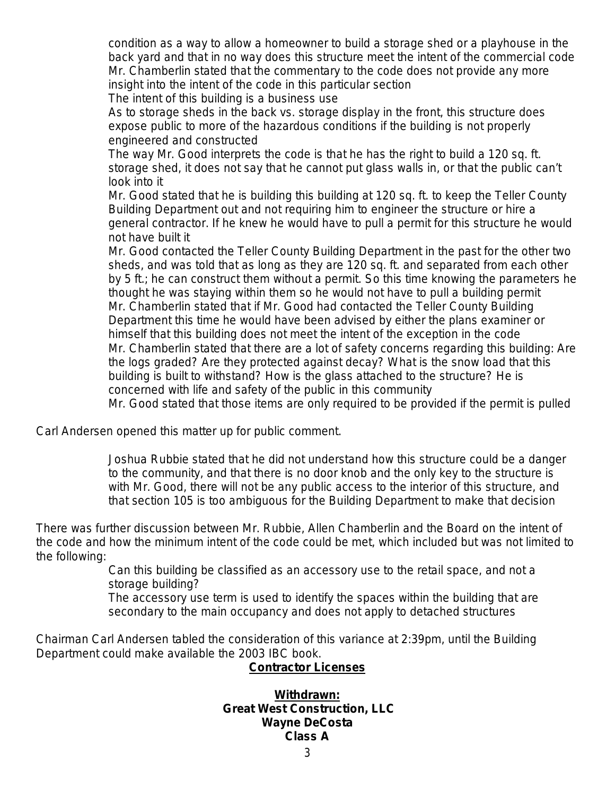condition as a way to allow a homeowner to build a storage shed or a playhouse in the back yard and that in no way does this structure meet the intent of the commercial code Mr. Chamberlin stated that the commentary to the code does not provide any more insight into the intent of the code in this particular section

The intent of this building is a business use

As to storage sheds in the back vs. storage display in the front, this structure does expose public to more of the hazardous conditions if the building is not properly engineered and constructed

The way Mr. Good interprets the code is that he has the right to build a 120 sq. ft. storage shed, it does not say that he cannot put glass walls in, or that the public can't look into it

Mr. Good stated that he is building this building at 120 sq. ft. to keep the Teller County Building Department out and not requiring him to engineer the structure or hire a general contractor. If he knew he would have to pull a permit for this structure he would not have built it

Mr. Good contacted the Teller County Building Department in the past for the other two sheds, and was told that as long as they are 120 sq. ft. and separated from each other by 5 ft.; he can construct them without a permit. So this time knowing the parameters he thought he was staying within them so he would not have to pull a building permit Mr. Chamberlin stated that if Mr. Good had contacted the Teller County Building Department this time he would have been advised by either the plans examiner or himself that this building does not meet the intent of the exception in the code Mr. Chamberlin stated that there are a lot of safety concerns regarding this building: Are the logs graded? Are they protected against decay? What is the snow load that this building is built to withstand? How is the glass attached to the structure? He is concerned with life and safety of the public in this community

Mr. Good stated that those items are only required to be provided if the permit is pulled

Carl Andersen opened this matter up for public comment.

Joshua Rubbie stated that he did not understand how this structure could be a danger to the community, and that there is no door knob and the only key to the structure is with Mr. Good, there will not be any public access to the interior of this structure, and that section 105 is too ambiguous for the Building Department to make that decision

There was further discussion between Mr. Rubbie, Allen Chamberlin and the Board on the intent of the code and how the minimum intent of the code could be met, which included but was not limited to the following:

> Can this building be classified as an accessory use to the retail space, and not a storage building?

> The accessory use term is used to identify the spaces within the building that are secondary to the main occupancy and does not apply to detached structures

Chairman Carl Andersen tabled the consideration of this variance at 2:39pm, until the Building Department could make available the 2003 IBC book.

#### **Contractor Licenses**

#### **Withdrawn: Great West Construction, LLC Wayne DeCosta Class A**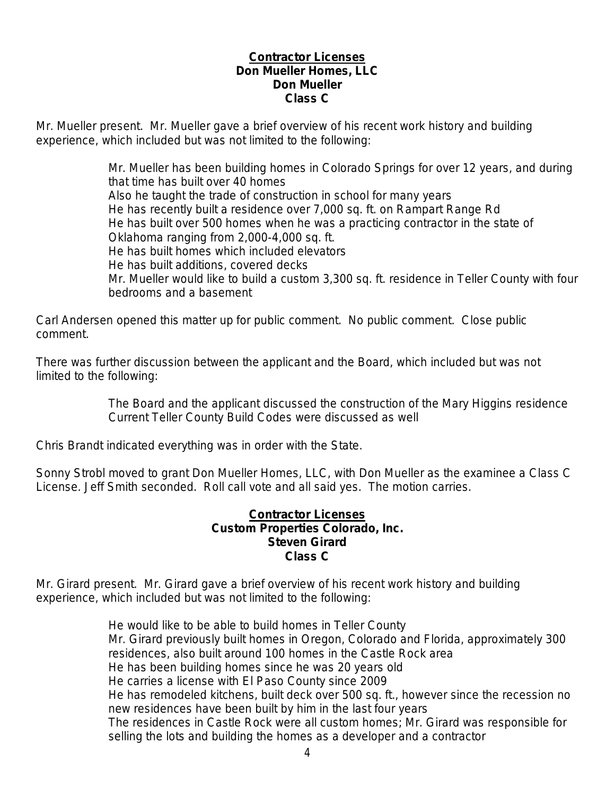#### **Contractor Licenses Don Mueller Homes, LLC Don Mueller Class C**

Mr. Mueller present. Mr. Mueller gave a brief overview of his recent work history and building experience, which included but was not limited to the following:

> Mr. Mueller has been building homes in Colorado Springs for over 12 years, and during that time has built over 40 homes Also he taught the trade of construction in school for many years He has recently built a residence over 7,000 sq. ft. on Rampart Range Rd He has built over 500 homes when he was a practicing contractor in the state of Oklahoma ranging from 2,000-4,000 sq. ft. He has built homes which included elevators He has built additions, covered decks Mr. Mueller would like to build a custom 3,300 sq. ft. residence in Teller County with four bedrooms and a basement

Carl Andersen opened this matter up for public comment. No public comment. Close public comment.

There was further discussion between the applicant and the Board, which included but was not limited to the following:

> The Board and the applicant discussed the construction of the Mary Higgins residence Current Teller County Build Codes were discussed as well

Chris Brandt indicated everything was in order with the State.

Sonny Strobl moved to grant Don Mueller Homes, LLC, with Don Mueller as the examinee a Class C License. Jeff Smith seconded. Roll call vote and all said yes. The motion carries.

#### **Contractor Licenses Custom Properties Colorado, Inc. Steven Girard Class C**

Mr. Girard present. Mr. Girard gave a brief overview of his recent work history and building experience, which included but was not limited to the following:

> He would like to be able to build homes in Teller County Mr. Girard previously built homes in Oregon, Colorado and Florida, approximately 300 residences, also built around 100 homes in the Castle Rock area He has been building homes since he was 20 years old He carries a license with El Paso County since 2009 He has remodeled kitchens, built deck over 500 sq. ft., however since the recession no new residences have been built by him in the last four years The residences in Castle Rock were all custom homes; Mr. Girard was responsible for selling the lots and building the homes as a developer and a contractor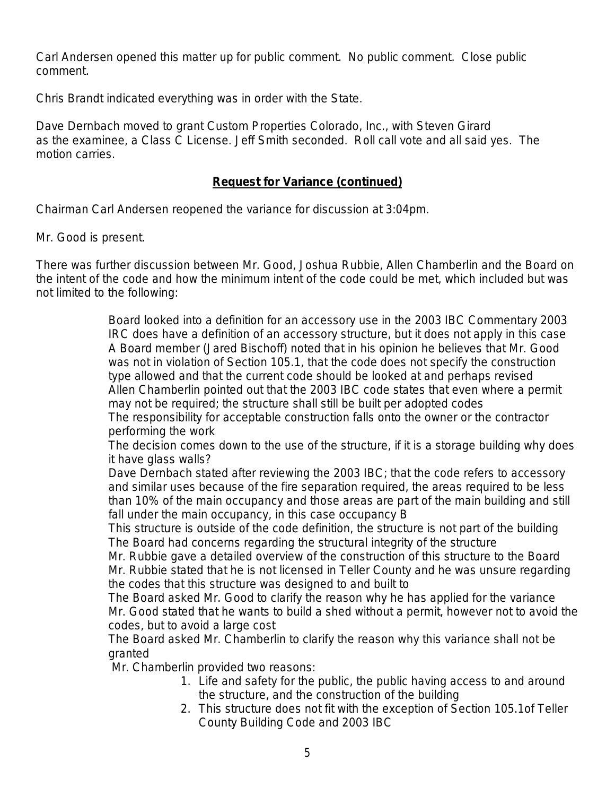Carl Andersen opened this matter up for public comment. No public comment. Close public comment.

Chris Brandt indicated everything was in order with the State.

Dave Dernbach moved to grant Custom Properties Colorado, Inc., with Steven Girard as the examinee, a Class C License. Jeff Smith seconded. Roll call vote and all said yes. The motion carries.

### **Request for Variance (continued)**

Chairman Carl Andersen reopened the variance for discussion at 3:04pm.

Mr. Good is present.

There was further discussion between Mr. Good, Joshua Rubbie, Allen Chamberlin and the Board on the intent of the code and how the minimum intent of the code could be met, which included but was not limited to the following:

> Board looked into a definition for an accessory use in the 2003 IBC Commentary 2003 IRC does have a definition of an accessory structure, but it does not apply in this case A Board member (Jared Bischoff) noted that in his opinion he believes that Mr. Good was not in violation of Section 105.1, that the code does not specify the construction type allowed and that the current code should be looked at and perhaps revised Allen Chamberlin pointed out that the 2003 IBC code states that even where a permit may not be required; the structure shall still be built per adopted codes

The responsibility for acceptable construction falls onto the owner or the contractor performing the work

The decision comes down to the use of the structure, if it is a storage building why does it have glass walls?

Dave Dernbach stated after reviewing the 2003 IBC; that the code refers to accessory and similar uses because of the fire separation required, the areas required to be less than 10% of the main occupancy and those areas are part of the main building and still fall under the main occupancy, in this case occupancy B

This structure is outside of the code definition, the structure is not part of the building The Board had concerns regarding the structural integrity of the structure

Mr. Rubbie gave a detailed overview of the construction of this structure to the Board Mr. Rubbie stated that he is not licensed in Teller County and he was unsure regarding the codes that this structure was designed to and built to

The Board asked Mr. Good to clarify the reason why he has applied for the variance Mr. Good stated that he wants to build a shed without a permit, however not to avoid the codes, but to avoid a large cost

The Board asked Mr. Chamberlin to clarify the reason why this variance shall not be granted

Mr. Chamberlin provided two reasons:

- 1. Life and safety for the public, the public having access to and around the structure, and the construction of the building
- 2. This structure does not fit with the exception of Section 105.1of Teller County Building Code and 2003 IBC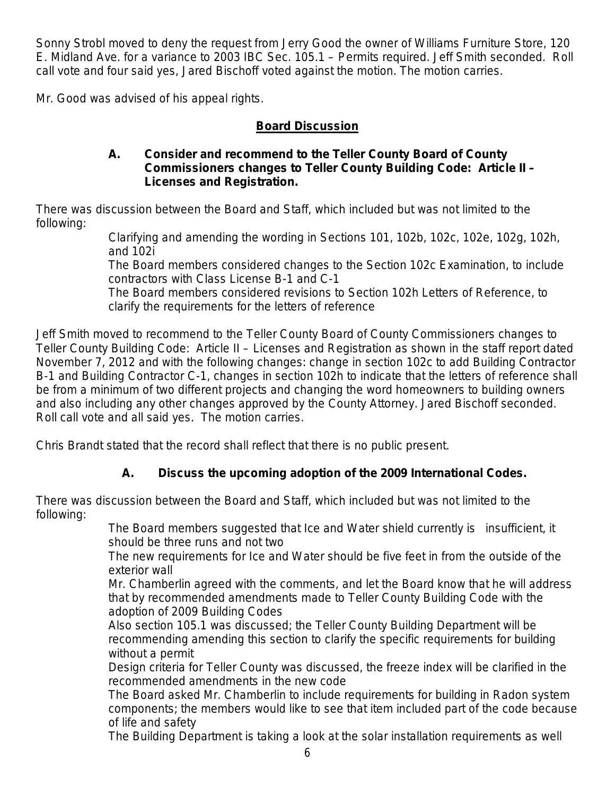Sonny Strobl moved to deny the request from Jerry Good the owner of Williams Furniture Store, 120 E. Midland Ave. for a variance to 2003 IBC Sec. 105.1 – Permits required. Jeff Smith seconded.Roll call vote and four said yes, Jared Bischoff voted against the motion. The motion carries.

Mr. Good was advised of his appeal rights.

## **Board Discussion**

#### **A. Consider and recommend to the Teller County Board of County Commissioners changes to Teller County Building Code: Article II – Licenses and Registration.**

There was discussion between the Board and Staff, which included but was not limited to the following:

Clarifying and amending the wording in Sections 101, 102b, 102c, 102e, 102g, 102h, and 102i

The Board members considered changes to the Section 102c Examination, to include contractors with Class License B-1 and C-1

The Board members considered revisions to Section 102h Letters of Reference, to clarify the requirements for the letters of reference

Jeff Smith moved to recommend to the Teller County Board of County Commissioners changes to Teller County Building Code: Article II – Licenses and Registration as shown in the staff report dated November 7, 2012 and with the following changes: change in section 102c to add Building Contractor B-1 and Building Contractor C-1, changes in section 102h to indicate that the letters of reference shall be from a minimum of two different projects and changing the word homeowners to building owners and also including any other changes approved by the County Attorney. Jared Bischoff seconded. Roll call vote and all said yes. The motion carries.

Chris Brandt stated that the record shall reflect that there is no public present.

# **A. Discuss the upcoming adoption of the 2009 International Codes.**

There was discussion between the Board and Staff, which included but was not limited to the following:

The Board members suggested that Ice and Water shield currently is insufficient, it should be three runs and not two

The new requirements for Ice and Water should be five feet in from the outside of the exterior wall

Mr. Chamberlin agreed with the comments, and let the Board know that he will address that by recommended amendments made to Teller County Building Code with the adoption of 2009 Building Codes

Also section 105.1 was discussed; the Teller County Building Department will be recommending amending this section to clarify the specific requirements for building without a permit

Design criteria for Teller County was discussed, the freeze index will be clarified in the recommended amendments in the new code

The Board asked Mr. Chamberlin to include requirements for building in Radon system components; the members would like to see that item included part of the code because of life and safety

The Building Department is taking a look at the solar installation requirements as well